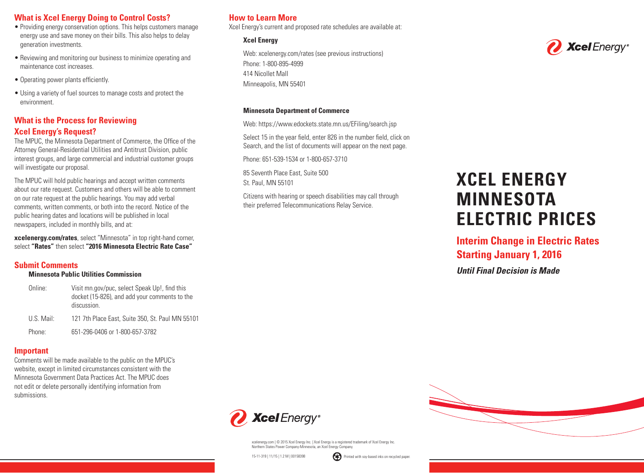# **What is Xcel Energy Doing to Control Costs?**

- Providing energy conservation options. This helps customers manage energy use and save money on their bills. This also helps to delay generation investments.
- Reviewing and monitoring our business to minimize operating and maintenance cost increases.
- Operating power plants efficiently.
- Using a variety of fuel sources to manage costs and protect the environment.

# **What is the Process for Reviewing Xcel Energy's Request?**

The MPUC, the Minnesota Department of Commerce, the Office of the Attorney General-Residential Utilities and Antitrust Division, public interest groups, and large commercial and industrial customer groups will investigate our proposal.

The MPUC will hold public hearings and accept written comments about our rate request. Customers and others will be able to comment on our rate request at the public hearings. You may add verbal comments, written comments, or both into the record. Notice of the public hearing dates and locations will be published in local newspapers, included in monthly bills, and at:

**xcelenergy.com/rates**, select "Minnesota" in top right-hand corner, select **"Rates"** then select **"2016 Minnesota Electric Rate Case"**

### **Submit Comments**

### **Minnesota Public Utilities Commission**

Online: Visit mn.gov/puc, select Speak Up!, find this docket (15-826), and add your comments to the discussion. U.S. Mail: 121 7th Place East, Suite 350, St. Paul MN 55101 Phone: 651-296-0406 or 1-800-657-3782

### **Important**

Comments will be made available to the public on the MPUC's website, except in limited circumstances consistent with the Minnesota Government Data Practices Act. The MPUC does not edit or delete personally identifying information from submissions.

# **How to Learn More**

Xcel Energy's current and proposed rate schedules are available at:

### **Xcel Energy**

Web: xcelenergy.com/rates (see previous instructions) Phone: 1-800-895-4999 414 Nicollet Mall Minneapolis, MN 55401

### **Minnesota Department of Commerce**

Web: https://www.edockets.state.mn.us/EFiling/search.jsp

 Select 15 in the year field, enter 826 in the number field, click on Search, and the list of documents will appear on the next page.

Phone: 651-539-1534 or 1-800-657-3710

85 Seventh Place East, Suite 500 St. Paul, MN 55101

 Citizens with hearing or speech disabilities may call through their preferred Telecommunications Relay Service.

# **XCEL ENERGY MINNESOTA ELECTRIC PRICES**

# **Interim Change in Electric Rates Starting January 1, 2016**

*Until Final Decision is Made*



xcelenergy.com | © 2015 Xcel Energy Inc. | Xcel Energy is a registered trademark of Xcel Energy Inc. Northern States Power Company-Minnesota, an Xcel Energy Company.